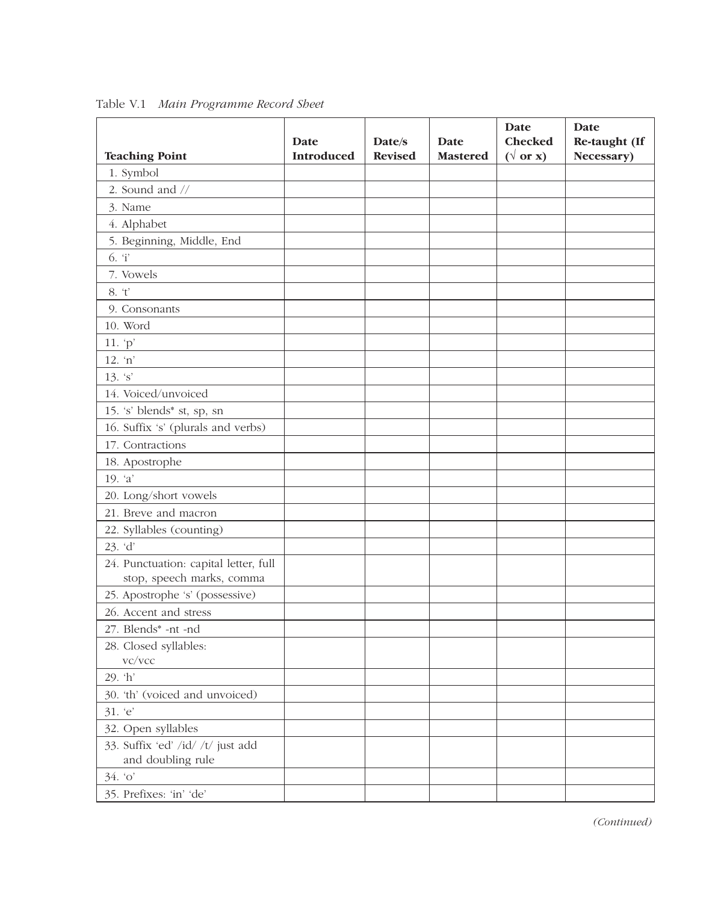|                                                                    | Date              | Date/s         | Date            | Date<br><b>Checked</b> | Date<br>Re-taught (If |
|--------------------------------------------------------------------|-------------------|----------------|-----------------|------------------------|-----------------------|
| <b>Teaching Point</b>                                              | <b>Introduced</b> | <b>Revised</b> | <b>Mastered</b> | $(\sqrt{or x})$        | Necessary)            |
| 1. Symbol                                                          |                   |                |                 |                        |                       |
| 2. Sound and //                                                    |                   |                |                 |                        |                       |
| 3. Name                                                            |                   |                |                 |                        |                       |
| 4. Alphabet                                                        |                   |                |                 |                        |                       |
| 5. Beginning, Middle, End                                          |                   |                |                 |                        |                       |
| 6. T                                                               |                   |                |                 |                        |                       |
| 7. Vowels                                                          |                   |                |                 |                        |                       |
| 8. 't'                                                             |                   |                |                 |                        |                       |
| 9. Consonants                                                      |                   |                |                 |                        |                       |
| 10. Word                                                           |                   |                |                 |                        |                       |
| 11. $p'$                                                           |                   |                |                 |                        |                       |
| 12. 'n'                                                            |                   |                |                 |                        |                       |
| $13. \, 's'$                                                       |                   |                |                 |                        |                       |
| 14. Voiced/unvoiced                                                |                   |                |                 |                        |                       |
| 15. 's' blends <sup>*</sup> st, sp, sn                             |                   |                |                 |                        |                       |
| 16. Suffix 's' (plurals and verbs)                                 |                   |                |                 |                        |                       |
| 17. Contractions                                                   |                   |                |                 |                        |                       |
| 18. Apostrophe                                                     |                   |                |                 |                        |                       |
| 19. $a'$                                                           |                   |                |                 |                        |                       |
| 20. Long/short vowels                                              |                   |                |                 |                        |                       |
| 21. Breve and macron                                               |                   |                |                 |                        |                       |
| 22. Syllables (counting)                                           |                   |                |                 |                        |                       |
| 23. 'd'                                                            |                   |                |                 |                        |                       |
| 24. Punctuation: capital letter, full<br>stop, speech marks, comma |                   |                |                 |                        |                       |
| 25. Apostrophe 's' (possessive)                                    |                   |                |                 |                        |                       |
| 26. Accent and stress                                              |                   |                |                 |                        |                       |
| 27. Blends* -nt -nd                                                |                   |                |                 |                        |                       |
| 28. Closed syllables:<br>vc/vcc                                    |                   |                |                 |                        |                       |
| 29. 'h'                                                            |                   |                |                 |                        |                       |
| 30. 'th' (voiced and unvoiced)                                     |                   |                |                 |                        |                       |
| 31. 'e'                                                            |                   |                |                 |                        |                       |
| 32. Open syllables                                                 |                   |                |                 |                        |                       |
| 33. Suffix 'ed' /id/ /t/ just add<br>and doubling rule             |                   |                |                 |                        |                       |
| 34.°                                                               |                   |                |                 |                        |                       |
| 35. Prefixes: 'in' 'de'                                            |                   |                |                 |                        |                       |

Table V.1 *Main Programme Record Sheet*

*(Continued)*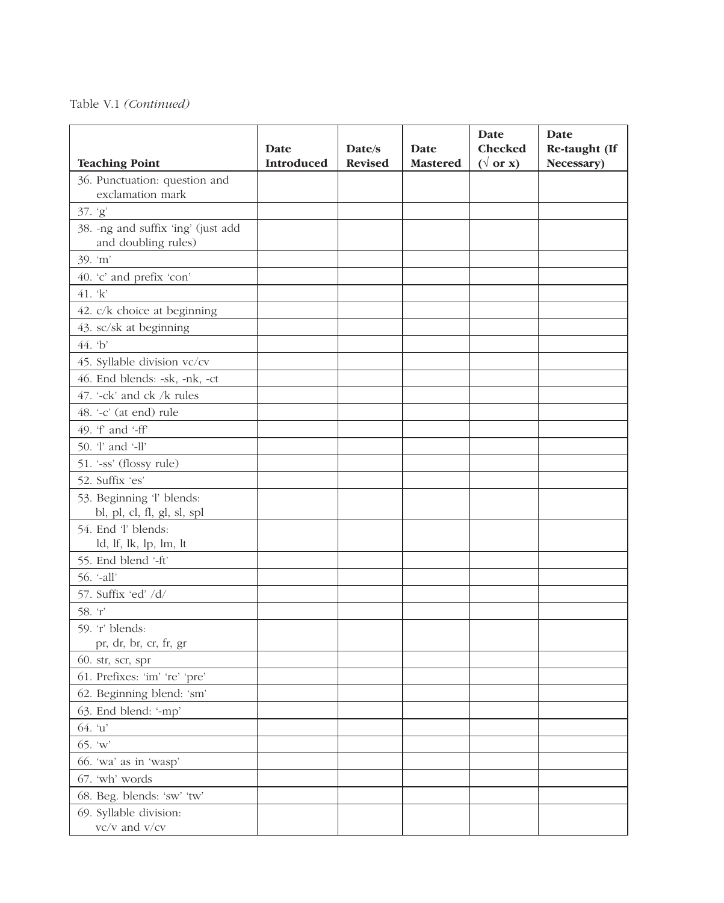## Table V.1 *(Continued)*

|                                                           | Date              | Date/s         | Date            | <b>Date</b><br><b>Checked</b> | Date<br>Re-taught (If |
|-----------------------------------------------------------|-------------------|----------------|-----------------|-------------------------------|-----------------------|
| <b>Teaching Point</b>                                     | <b>Introduced</b> | <b>Revised</b> | <b>Mastered</b> | $(\sqrt{or x})$               | Necessary)            |
| 36. Punctuation: question and                             |                   |                |                 |                               |                       |
| exclamation mark                                          |                   |                |                 |                               |                       |
| 37. 'g'                                                   |                   |                |                 |                               |                       |
| 38. -ng and suffix 'ing' (just add<br>and doubling rules) |                   |                |                 |                               |                       |
| 39. 'm'                                                   |                   |                |                 |                               |                       |
| 40. 'c' and prefix 'con'                                  |                   |                |                 |                               |                       |
| 41. 'k'                                                   |                   |                |                 |                               |                       |
| 42. c/k choice at beginning                               |                   |                |                 |                               |                       |
| 43. sc/sk at beginning                                    |                   |                |                 |                               |                       |
| 44. b                                                     |                   |                |                 |                               |                       |
| 45. Syllable division vc/cv                               |                   |                |                 |                               |                       |
| 46. End blends: -sk, -nk, -ct                             |                   |                |                 |                               |                       |
| 47. '-ck' and ck /k rules                                 |                   |                |                 |                               |                       |
| 48. '-c' (at end) rule                                    |                   |                |                 |                               |                       |
| 49. 'f' and '-ff'                                         |                   |                |                 |                               |                       |
| 50. 'l' and '-ll'                                         |                   |                |                 |                               |                       |
| 51. '-ss' (flossy rule)                                   |                   |                |                 |                               |                       |
| 52. Suffix 'es'                                           |                   |                |                 |                               |                       |
| 53. Beginning 'l' blends:<br>bl, pl, cl, fl, gl, sl, spl  |                   |                |                 |                               |                       |
| 54. End 'l' blends:                                       |                   |                |                 |                               |                       |
| ld, lf, lk, lp, lm, lt                                    |                   |                |                 |                               |                       |
| 55. End blend '-ft'                                       |                   |                |                 |                               |                       |
| $56.$ '-all'                                              |                   |                |                 |                               |                       |
| 57. Suffix 'ed' /d/                                       |                   |                |                 |                               |                       |
| 58. T                                                     |                   |                |                 |                               |                       |
| 59. 'r' blends:                                           |                   |                |                 |                               |                       |
| pr, dr, br, cr, fr, gr                                    |                   |                |                 |                               |                       |
| 60. str, scr, spr                                         |                   |                |                 |                               |                       |
| 61. Prefixes: 'im' 're' 'pre'                             |                   |                |                 |                               |                       |
| 62. Beginning blend: 'sm'                                 |                   |                |                 |                               |                       |
| 63. End blend: '-mp'                                      |                   |                |                 |                               |                       |
| 64. 'u'                                                   |                   |                |                 |                               |                       |
| $65. \,\mathrm{`w'}$                                      |                   |                |                 |                               |                       |
| 66. 'wa' as in 'wasp'                                     |                   |                |                 |                               |                       |
| 67. 'wh' words                                            |                   |                |                 |                               |                       |
| 68. Beg. blends: 'sw' 'tw'                                |                   |                |                 |                               |                       |
| 69. Syllable division:<br>vc/v and v/cv                   |                   |                |                 |                               |                       |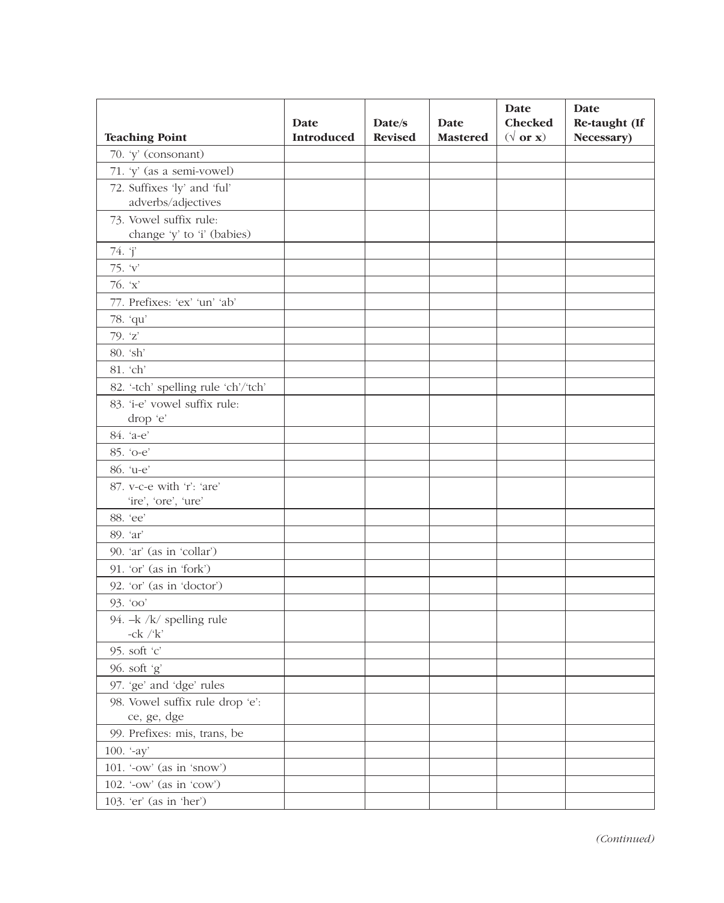|                                                      | Date              | Date/s         | Date            | Date<br><b>Checked</b> | Date<br>Re-taught (If |
|------------------------------------------------------|-------------------|----------------|-----------------|------------------------|-----------------------|
| <b>Teaching Point</b>                                | <b>Introduced</b> | <b>Revised</b> | <b>Mastered</b> | $(\sqrt{or x})$        | Necessary)            |
| 70. 'y' (consonant)                                  |                   |                |                 |                        |                       |
| 71. 'y' (as a semi-vowel)                            |                   |                |                 |                        |                       |
| 72. Suffixes 'ly' and 'ful'                          |                   |                |                 |                        |                       |
| adverbs/adjectives                                   |                   |                |                 |                        |                       |
| 73. Vowel suffix rule:<br>change 'y' to 'i' (babies) |                   |                |                 |                        |                       |
| 74. j'                                               |                   |                |                 |                        |                       |
| 75. 'v'                                              |                   |                |                 |                        |                       |
| 76. $x'$                                             |                   |                |                 |                        |                       |
| 77. Prefixes: 'ex' 'un' 'ab'                         |                   |                |                 |                        |                       |
| 78. 'qu'                                             |                   |                |                 |                        |                       |
| 79. 'z'                                              |                   |                |                 |                        |                       |
| 80. 'sh'                                             |                   |                |                 |                        |                       |
| 81. 'ch'                                             |                   |                |                 |                        |                       |
| 82. '-tch' spelling rule 'ch'/'tch'                  |                   |                |                 |                        |                       |
| 83. 'i-e' vowel suffix rule:                         |                   |                |                 |                        |                       |
| drop 'e'                                             |                   |                |                 |                        |                       |
| 84. 'a-e'                                            |                   |                |                 |                        |                       |
| 85. 'o-e'                                            |                   |                |                 |                        |                       |
| 86. 'u-e'                                            |                   |                |                 |                        |                       |
| 87. v-c-e with 'r': 'are'                            |                   |                |                 |                        |                       |
| 'ire', 'ore', 'ure'                                  |                   |                |                 |                        |                       |
| 88. 'ee'                                             |                   |                |                 |                        |                       |
| 89. 'ar'                                             |                   |                |                 |                        |                       |
| 90. 'ar' (as in 'collar')                            |                   |                |                 |                        |                       |
| 91. 'or' (as in 'fork')                              |                   |                |                 |                        |                       |
| 92. 'or' (as in 'doctor')                            |                   |                |                 |                        |                       |
| 93. '00'                                             |                   |                |                 |                        |                       |
| 94. - k /k/ spelling rule<br>$-ck$ / $k$             |                   |                |                 |                        |                       |
| 95. soft 'c'                                         |                   |                |                 |                        |                       |
| 96. soft 'g'                                         |                   |                |                 |                        |                       |
| 97. 'ge' and 'dge' rules                             |                   |                |                 |                        |                       |
| 98. Vowel suffix rule drop 'e':<br>ce, ge, dge       |                   |                |                 |                        |                       |
| 99. Prefixes: mis, trans, be                         |                   |                |                 |                        |                       |
| 100. $-ay'$                                          |                   |                |                 |                        |                       |
| 101. '-ow' (as in 'snow')                            |                   |                |                 |                        |                       |
| 102. '-ow' (as in 'cow')                             |                   |                |                 |                        |                       |
| 103. 'er' (as in 'her')                              |                   |                |                 |                        |                       |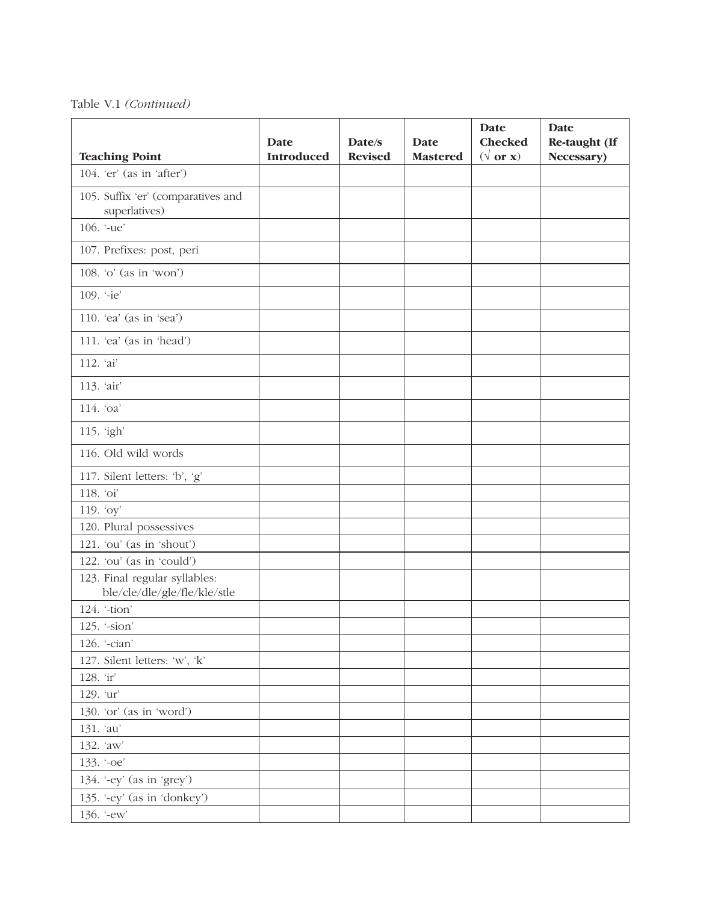Table V.1 *(Continued)*

| <b>Teaching Point</b>                                         | Date<br><b>Introduced</b> | Date/s<br><b>Revised</b> | Date<br><b>Mastered</b> | Date<br><b>Checked</b><br>$(\sqrt{\text{or } x})$ | Date<br>Re-taught (If<br>Necessary) |
|---------------------------------------------------------------|---------------------------|--------------------------|-------------------------|---------------------------------------------------|-------------------------------------|
| $104.$ 'er' (as in 'after')                                   |                           |                          |                         |                                                   |                                     |
| 105. Suffix 'er' (comparatives and<br>superlatives)           |                           |                          |                         |                                                   |                                     |
| 106. '-ue'                                                    |                           |                          |                         |                                                   |                                     |
| 107. Prefixes: post, peri                                     |                           |                          |                         |                                                   |                                     |
| 108. 'o' (as in 'won')                                        |                           |                          |                         |                                                   |                                     |
| 109. '-ie'                                                    |                           |                          |                         |                                                   |                                     |
| 110. 'ea' (as in 'sea')                                       |                           |                          |                         |                                                   |                                     |
| 111. 'ea' (as in 'head')                                      |                           |                          |                         |                                                   |                                     |
| 112. 'ai'                                                     |                           |                          |                         |                                                   |                                     |
| 113. 'air'                                                    |                           |                          |                         |                                                   |                                     |
| 114. 'oa'                                                     |                           |                          |                         |                                                   |                                     |
| 115. 'igh'                                                    |                           |                          |                         |                                                   |                                     |
| 116. Old wild words                                           |                           |                          |                         |                                                   |                                     |
| 117. Silent letters: 'b', 'g'                                 |                           |                          |                         |                                                   |                                     |
| 118. 'oi'                                                     |                           |                          |                         |                                                   |                                     |
| 119. 'oy'                                                     |                           |                          |                         |                                                   |                                     |
| 120. Plural possessives                                       |                           |                          |                         |                                                   |                                     |
| 121. 'ou' (as in 'shout')                                     |                           |                          |                         |                                                   |                                     |
| 122. 'ou' (as in 'could')                                     |                           |                          |                         |                                                   |                                     |
| 123. Final regular syllables:<br>ble/cle/dle/gle/fle/kle/stle |                           |                          |                         |                                                   |                                     |
| 124. '-tion'                                                  |                           |                          |                         |                                                   |                                     |
| 125. '-sion'                                                  |                           |                          |                         |                                                   |                                     |
| 126. '-cian'                                                  |                           |                          |                         |                                                   |                                     |
| 127. Silent letters: 'w', 'k'                                 |                           |                          |                         |                                                   |                                     |
| 128. 'ir'                                                     |                           |                          |                         |                                                   |                                     |
| 129. 'ur'                                                     |                           |                          |                         |                                                   |                                     |
| 130. 'or' (as in 'word')                                      |                           |                          |                         |                                                   |                                     |
| 131. 'au'                                                     |                           |                          |                         |                                                   |                                     |
| 132. 'aw'                                                     |                           |                          |                         |                                                   |                                     |
| 133. '-oe'                                                    |                           |                          |                         |                                                   |                                     |
| 134. '-ey' (as in 'grey')                                     |                           |                          |                         |                                                   |                                     |
|                                                               |                           |                          |                         |                                                   |                                     |
| 135. '-ey' (as in 'donkey')                                   |                           |                          |                         |                                                   |                                     |
| 136. '-ew'                                                    |                           |                          |                         |                                                   |                                     |